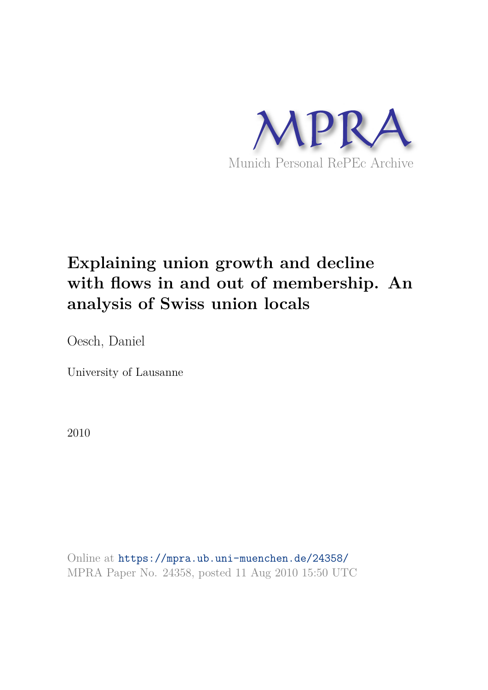

# **Explaining union growth and decline with flows in and out of membership. An analysis of Swiss union locals**

Oesch, Daniel

University of Lausanne

2010

Online at https://mpra.ub.uni-muenchen.de/24358/ MPRA Paper No. 24358, posted 11 Aug 2010 15:50 UTC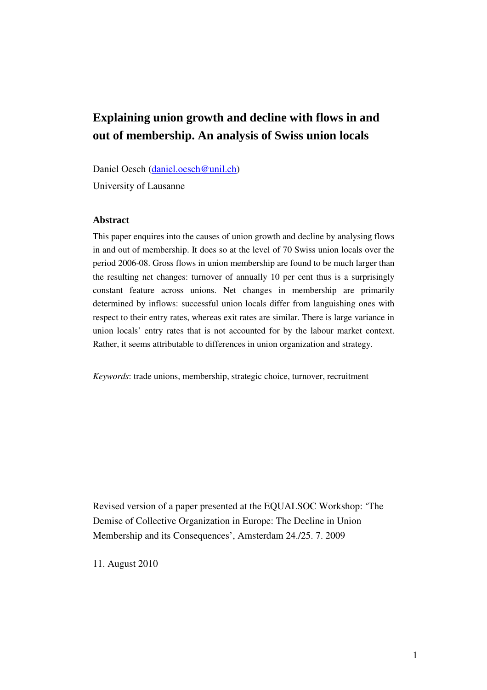# **Explaining union growth and decline with flows in and out of membership. An analysis of Swiss union locals**

Daniel Oesch (daniel.oesch@unil.ch)

University of Lausanne

#### **Abstract**

This paper enquires into the causes of union growth and decline by analysing flows in and out of membership. It does so at the level of 70 Swiss union locals over the period 2006-08. Gross flows in union membership are found to be much larger than the resulting net changes: turnover of annually 10 per cent thus is a surprisingly constant feature across unions. Net changes in membership are primarily determined by inflows: successful union locals differ from languishing ones with respect to their entry rates, whereas exit rates are similar. There is large variance in union locals' entry rates that is not accounted for by the labour market context. Rather, it seems attributable to differences in union organization and strategy.

*Keywords*: trade unions, membership, strategic choice, turnover, recruitment

Revised version of a paper presented at the EQUALSOC Workshop: 'The Demise of Collective Organization in Europe: The Decline in Union Membership and its Consequences', Amsterdam 24./25. 7. 2009

11. August 2010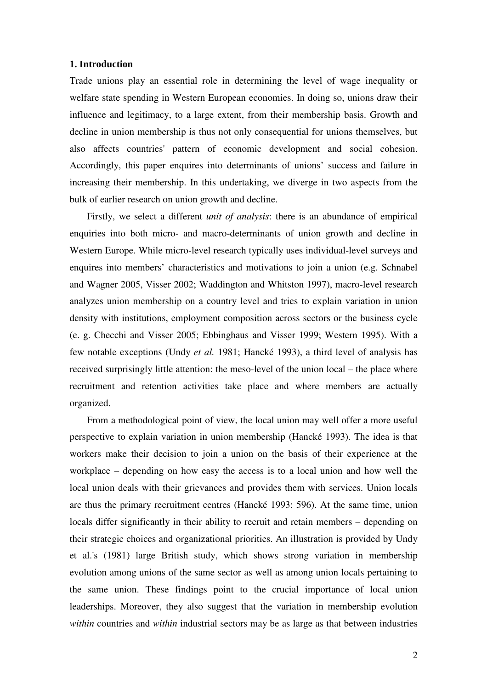#### **1. Introduction**

Trade unions play an essential role in determining the level of wage inequality or welfare state spending in Western European economies. In doing so, unions draw their influence and legitimacy, to a large extent, from their membership basis. Growth and decline in union membership is thus not only consequential for unions themselves, but also affects countries' pattern of economic development and social cohesion. Accordingly, this paper enquires into determinants of unions' success and failure in increasing their membership. In this undertaking, we diverge in two aspects from the bulk of earlier research on union growth and decline.

Firstly, we select a different *unit of analysis*: there is an abundance of empirical enquiries into both micro- and macro-determinants of union growth and decline in Western Europe. While micro-level research typically uses individual-level surveys and enquires into members' characteristics and motivations to join a union (e.g. Schnabel and Wagner 2005, Visser 2002; Waddington and Whitston 1997), macro-level research analyzes union membership on a country level and tries to explain variation in union density with institutions, employment composition across sectors or the business cycle (e. g. Checchi and Visser 2005; Ebbinghaus and Visser 1999; Western 1995). With a few notable exceptions (Undy *et al.* 1981; Hancké 1993), a third level of analysis has received surprisingly little attention: the meso-level of the union local – the place where recruitment and retention activities take place and where members are actually organized.

From a methodological point of view, the local union may well offer a more useful perspective to explain variation in union membership (Hancké 1993). The idea is that workers make their decision to join a union on the basis of their experience at the workplace – depending on how easy the access is to a local union and how well the local union deals with their grievances and provides them with services. Union locals are thus the primary recruitment centres (Hancké 1993: 596). At the same time, union locals differ significantly in their ability to recruit and retain members – depending on their strategic choices and organizational priorities. An illustration is provided by Undy et al.'s (1981) large British study, which shows strong variation in membership evolution among unions of the same sector as well as among union locals pertaining to the same union. These findings point to the crucial importance of local union leaderships. Moreover, they also suggest that the variation in membership evolution *within* countries and *within* industrial sectors may be as large as that between industries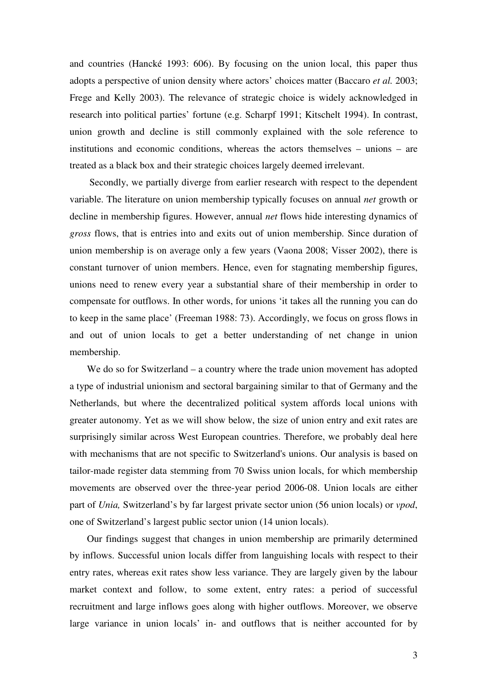and countries (Hancké 1993: 606). By focusing on the union local, this paper thus adopts a perspective of union density where actors' choices matter (Baccaro *et al.* 2003; Frege and Kelly 2003). The relevance of strategic choice is widely acknowledged in research into political parties' fortune (e.g. Scharpf 1991; Kitschelt 1994). In contrast, union growth and decline is still commonly explained with the sole reference to institutions and economic conditions, whereas the actors themselves – unions – are treated as a black box and their strategic choices largely deemed irrelevant.

 Secondly, we partially diverge from earlier research with respect to the dependent variable. The literature on union membership typically focuses on annual *net* growth or decline in membership figures. However, annual *net* flows hide interesting dynamics of *gross* flows, that is entries into and exits out of union membership. Since duration of union membership is on average only a few years (Vaona 2008; Visser 2002), there is constant turnover of union members. Hence, even for stagnating membership figures, unions need to renew every year a substantial share of their membership in order to compensate for outflows. In other words, for unions 'it takes all the running you can do to keep in the same place' (Freeman 1988: 73). Accordingly, we focus on gross flows in and out of union locals to get a better understanding of net change in union membership.

We do so for Switzerland – a country where the trade union movement has adopted a type of industrial unionism and sectoral bargaining similar to that of Germany and the Netherlands, but where the decentralized political system affords local unions with greater autonomy. Yet as we will show below, the size of union entry and exit rates are surprisingly similar across West European countries. Therefore, we probably deal here with mechanisms that are not specific to Switzerland's unions. Our analysis is based on tailor-made register data stemming from 70 Swiss union locals, for which membership movements are observed over the three-year period 2006-08. Union locals are either part of *Unia,* Switzerland's by far largest private sector union (56 union locals) or *vpod*, one of Switzerland's largest public sector union (14 union locals).

Our findings suggest that changes in union membership are primarily determined by inflows. Successful union locals differ from languishing locals with respect to their entry rates, whereas exit rates show less variance. They are largely given by the labour market context and follow, to some extent, entry rates: a period of successful recruitment and large inflows goes along with higher outflows. Moreover, we observe large variance in union locals' in- and outflows that is neither accounted for by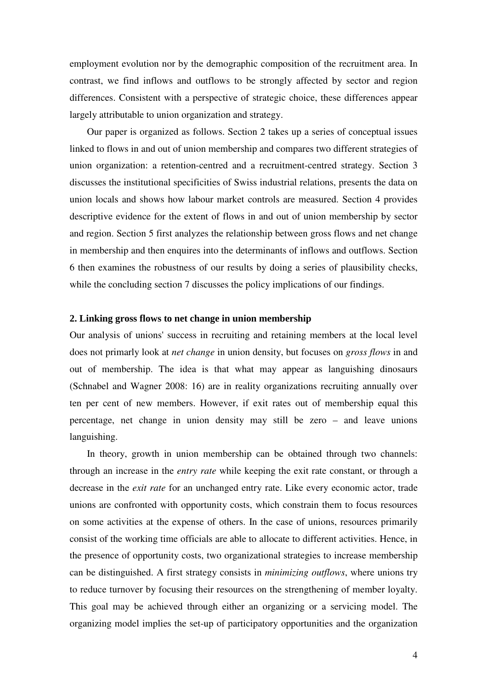employment evolution nor by the demographic composition of the recruitment area. In contrast, we find inflows and outflows to be strongly affected by sector and region differences. Consistent with a perspective of strategic choice, these differences appear largely attributable to union organization and strategy.

Our paper is organized as follows. Section 2 takes up a series of conceptual issues linked to flows in and out of union membership and compares two different strategies of union organization: a retention-centred and a recruitment-centred strategy. Section 3 discusses the institutional specificities of Swiss industrial relations, presents the data on union locals and shows how labour market controls are measured. Section 4 provides descriptive evidence for the extent of flows in and out of union membership by sector and region. Section 5 first analyzes the relationship between gross flows and net change in membership and then enquires into the determinants of inflows and outflows. Section 6 then examines the robustness of our results by doing a series of plausibility checks, while the concluding section 7 discusses the policy implications of our findings.

#### **2. Linking gross flows to net change in union membership**

Our analysis of unions' success in recruiting and retaining members at the local level does not primarly look at *net change* in union density, but focuses on *gross flows* in and out of membership. The idea is that what may appear as languishing dinosaurs (Schnabel and Wagner 2008: 16) are in reality organizations recruiting annually over ten per cent of new members. However, if exit rates out of membership equal this percentage, net change in union density may still be zero – and leave unions languishing.

In theory, growth in union membership can be obtained through two channels: through an increase in the *entry rate* while keeping the exit rate constant, or through a decrease in the *exit rate* for an unchanged entry rate. Like every economic actor, trade unions are confronted with opportunity costs, which constrain them to focus resources on some activities at the expense of others. In the case of unions, resources primarily consist of the working time officials are able to allocate to different activities. Hence, in the presence of opportunity costs, two organizational strategies to increase membership can be distinguished. A first strategy consists in *minimizing outflows*, where unions try to reduce turnover by focusing their resources on the strengthening of member loyalty. This goal may be achieved through either an organizing or a servicing model. The organizing model implies the set-up of participatory opportunities and the organization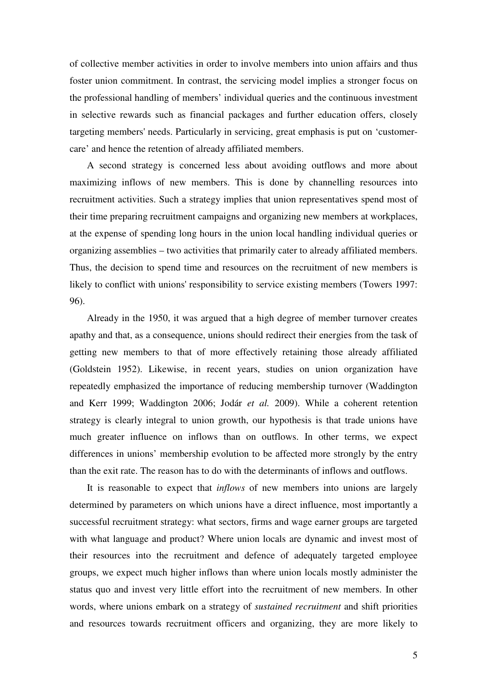of collective member activities in order to involve members into union affairs and thus foster union commitment. In contrast, the servicing model implies a stronger focus on the professional handling of members' individual queries and the continuous investment in selective rewards such as financial packages and further education offers, closely targeting members' needs. Particularly in servicing, great emphasis is put on 'customercare' and hence the retention of already affiliated members.

A second strategy is concerned less about avoiding outflows and more about maximizing inflows of new members. This is done by channelling resources into recruitment activities. Such a strategy implies that union representatives spend most of their time preparing recruitment campaigns and organizing new members at workplaces, at the expense of spending long hours in the union local handling individual queries or organizing assemblies – two activities that primarily cater to already affiliated members. Thus, the decision to spend time and resources on the recruitment of new members is likely to conflict with unions' responsibility to service existing members (Towers 1997: 96).

Already in the 1950, it was argued that a high degree of member turnover creates apathy and that, as a consequence, unions should redirect their energies from the task of getting new members to that of more effectively retaining those already affiliated (Goldstein 1952). Likewise, in recent years, studies on union organization have repeatedly emphasized the importance of reducing membership turnover (Waddington and Kerr 1999; Waddington 2006; Jodár *et al.* 2009). While a coherent retention strategy is clearly integral to union growth, our hypothesis is that trade unions have much greater influence on inflows than on outflows. In other terms, we expect differences in unions' membership evolution to be affected more strongly by the entry than the exit rate. The reason has to do with the determinants of inflows and outflows.

It is reasonable to expect that *inflows* of new members into unions are largely determined by parameters on which unions have a direct influence, most importantly a successful recruitment strategy: what sectors, firms and wage earner groups are targeted with what language and product? Where union locals are dynamic and invest most of their resources into the recruitment and defence of adequately targeted employee groups, we expect much higher inflows than where union locals mostly administer the status quo and invest very little effort into the recruitment of new members. In other words, where unions embark on a strategy of *sustained recruitment* and shift priorities and resources towards recruitment officers and organizing, they are more likely to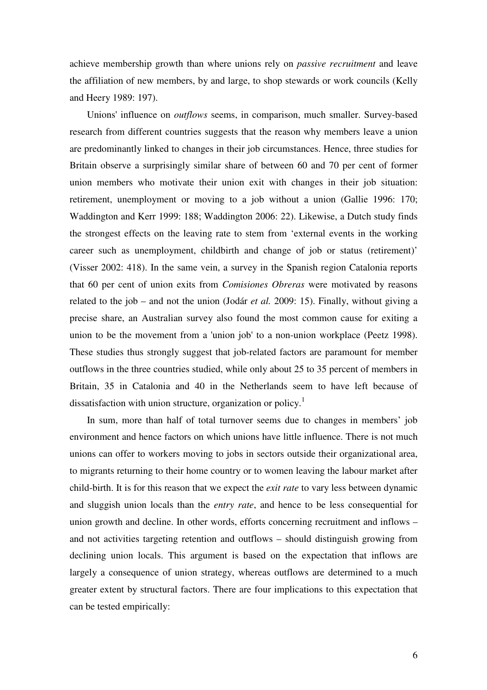achieve membership growth than where unions rely on *passive recruitment* and leave the affiliation of new members, by and large, to shop stewards or work councils (Kelly and Heery 1989: 197).

Unions' influence on *outflows* seems, in comparison, much smaller. Survey-based research from different countries suggests that the reason why members leave a union are predominantly linked to changes in their job circumstances. Hence, three studies for Britain observe a surprisingly similar share of between 60 and 70 per cent of former union members who motivate their union exit with changes in their job situation: retirement, unemployment or moving to a job without a union (Gallie 1996: 170; Waddington and Kerr 1999: 188; Waddington 2006: 22). Likewise, a Dutch study finds the strongest effects on the leaving rate to stem from 'external events in the working career such as unemployment, childbirth and change of job or status (retirement)' (Visser 2002: 418). In the same vein, a survey in the Spanish region Catalonia reports that 60 per cent of union exits from *Comisiones Obreras* were motivated by reasons related to the job – and not the union (Jodár *et al.* 2009: 15). Finally, without giving a precise share, an Australian survey also found the most common cause for exiting a union to be the movement from a 'union job' to a non-union workplace (Peetz 1998). These studies thus strongly suggest that job-related factors are paramount for member outflows in the three countries studied, while only about 25 to 35 percent of members in Britain, 35 in Catalonia and 40 in the Netherlands seem to have left because of dissatisfaction with union structure, organization or policy.<sup>1</sup>

In sum, more than half of total turnover seems due to changes in members' job environment and hence factors on which unions have little influence. There is not much unions can offer to workers moving to jobs in sectors outside their organizational area, to migrants returning to their home country or to women leaving the labour market after child-birth. It is for this reason that we expect the *exit rate* to vary less between dynamic and sluggish union locals than the *entry rate*, and hence to be less consequential for union growth and decline. In other words, efforts concerning recruitment and inflows – and not activities targeting retention and outflows – should distinguish growing from declining union locals. This argument is based on the expectation that inflows are largely a consequence of union strategy, whereas outflows are determined to a much greater extent by structural factors. There are four implications to this expectation that can be tested empirically: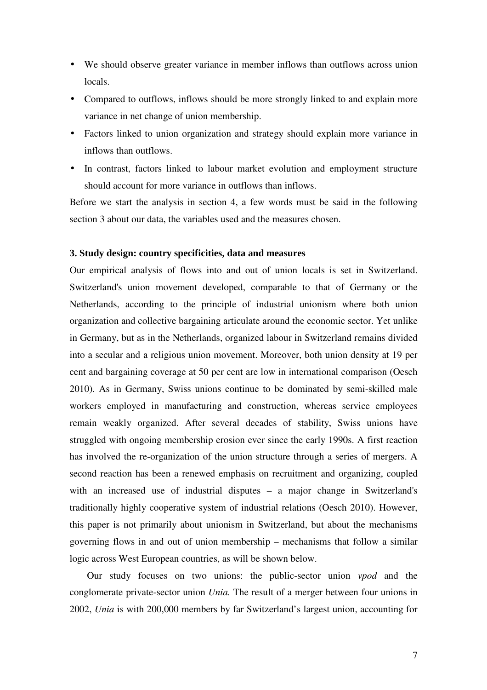- We should observe greater variance in member inflows than outflows across union locals.
- Compared to outflows, inflows should be more strongly linked to and explain more variance in net change of union membership.
- Factors linked to union organization and strategy should explain more variance in inflows than outflows.
- In contrast, factors linked to labour market evolution and employment structure should account for more variance in outflows than inflows.

Before we start the analysis in section 4, a few words must be said in the following section 3 about our data, the variables used and the measures chosen.

#### **3. Study design: country specificities, data and measures**

Our empirical analysis of flows into and out of union locals is set in Switzerland. Switzerland's union movement developed, comparable to that of Germany or the Netherlands, according to the principle of industrial unionism where both union organization and collective bargaining articulate around the economic sector. Yet unlike in Germany, but as in the Netherlands, organized labour in Switzerland remains divided into a secular and a religious union movement. Moreover, both union density at 19 per cent and bargaining coverage at 50 per cent are low in international comparison (Oesch 2010). As in Germany, Swiss unions continue to be dominated by semi-skilled male workers employed in manufacturing and construction, whereas service employees remain weakly organized. After several decades of stability, Swiss unions have struggled with ongoing membership erosion ever since the early 1990s. A first reaction has involved the re-organization of the union structure through a series of mergers. A second reaction has been a renewed emphasis on recruitment and organizing, coupled with an increased use of industrial disputes – a major change in Switzerland's traditionally highly cooperative system of industrial relations (Oesch 2010). However, this paper is not primarily about unionism in Switzerland, but about the mechanisms governing flows in and out of union membership – mechanisms that follow a similar logic across West European countries, as will be shown below.

Our study focuses on two unions: the public-sector union *vpod* and the conglomerate private-sector union *Unia.* The result of a merger between four unions in 2002, *Unia* is with 200,000 members by far Switzerland's largest union, accounting for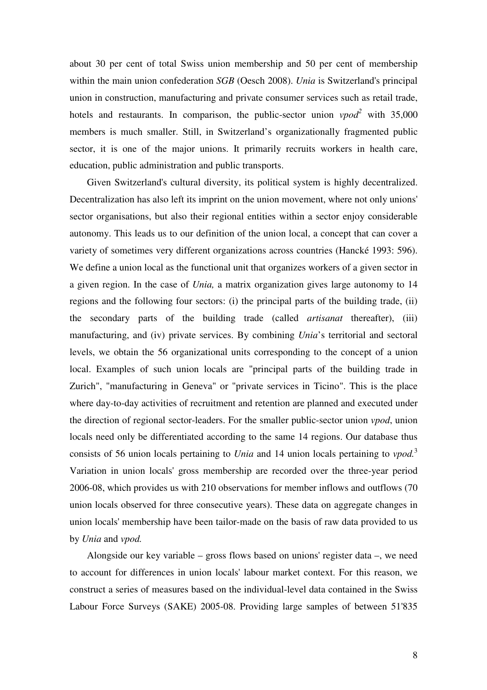about 30 per cent of total Swiss union membership and 50 per cent of membership within the main union confederation *SGB* (Oesch 2008). *Unia* is Switzerland's principal union in construction, manufacturing and private consumer services such as retail trade, hotels and restaurants. In comparison, the public-sector union *vpod<sup>2</sup>* with 35,000 members is much smaller. Still, in Switzerland's organizationally fragmented public sector, it is one of the major unions. It primarily recruits workers in health care, education, public administration and public transports.

Given Switzerland's cultural diversity, its political system is highly decentralized. Decentralization has also left its imprint on the union movement, where not only unions' sector organisations, but also their regional entities within a sector enjoy considerable autonomy. This leads us to our definition of the union local, a concept that can cover a variety of sometimes very different organizations across countries (Hancké 1993: 596). We define a union local as the functional unit that organizes workers of a given sector in a given region. In the case of *Unia,* a matrix organization gives large autonomy to 14 regions and the following four sectors: (i) the principal parts of the building trade, (ii) the secondary parts of the building trade (called *artisanat* thereafter), (iii) manufacturing, and (iv) private services. By combining *Unia*'s territorial and sectoral levels, we obtain the 56 organizational units corresponding to the concept of a union local. Examples of such union locals are "principal parts of the building trade in Zurich", "manufacturing in Geneva" or "private services in Ticino". This is the place where day-to-day activities of recruitment and retention are planned and executed under the direction of regional sector-leaders. For the smaller public-sector union *vpod*, union locals need only be differentiated according to the same 14 regions. Our database thus consists of 56 union locals pertaining to *Unia* and 14 union locals pertaining to *vpod.*<sup>3</sup> Variation in union locals' gross membership are recorded over the three-year period 2006-08, which provides us with 210 observations for member inflows and outflows (70 union locals observed for three consecutive years). These data on aggregate changes in union locals' membership have been tailor-made on the basis of raw data provided to us by *Unia* and *vpod.*

Alongside our key variable – gross flows based on unions' register data –, we need to account for differences in union locals' labour market context. For this reason, we construct a series of measures based on the individual-level data contained in the Swiss Labour Force Surveys (SAKE) 2005-08. Providing large samples of between 51'835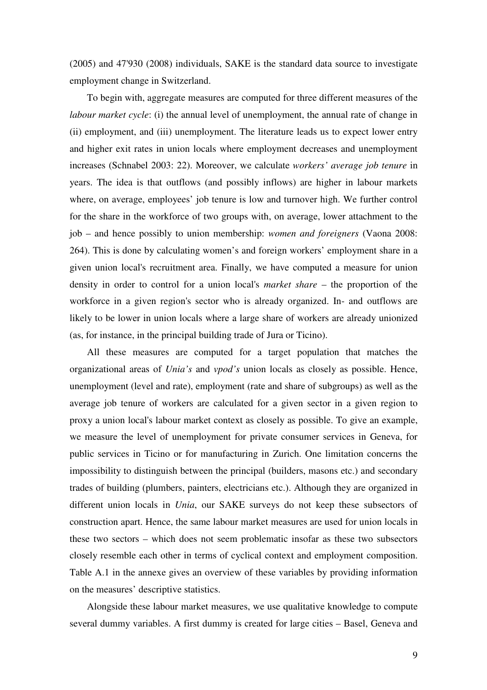(2005) and 47'930 (2008) individuals, SAKE is the standard data source to investigate employment change in Switzerland.

To begin with, aggregate measures are computed for three different measures of the *labour market cycle*: (i) the annual level of unemployment, the annual rate of change in (ii) employment, and (iii) unemployment. The literature leads us to expect lower entry and higher exit rates in union locals where employment decreases and unemployment increases (Schnabel 2003: 22). Moreover, we calculate *workers' average job tenure* in years. The idea is that outflows (and possibly inflows) are higher in labour markets where, on average, employees' job tenure is low and turnover high. We further control for the share in the workforce of two groups with, on average, lower attachment to the job – and hence possibly to union membership: *women and foreigners* (Vaona 2008: 264). This is done by calculating women's and foreign workers' employment share in a given union local's recruitment area. Finally, we have computed a measure for union density in order to control for a union local's *market share* – the proportion of the workforce in a given region's sector who is already organized. In- and outflows are likely to be lower in union locals where a large share of workers are already unionized (as, for instance, in the principal building trade of Jura or Ticino).

All these measures are computed for a target population that matches the organizational areas of *Unia's* and *vpod's* union locals as closely as possible. Hence, unemployment (level and rate), employment (rate and share of subgroups) as well as the average job tenure of workers are calculated for a given sector in a given region to proxy a union local's labour market context as closely as possible. To give an example, we measure the level of unemployment for private consumer services in Geneva, for public services in Ticino or for manufacturing in Zurich. One limitation concerns the impossibility to distinguish between the principal (builders, masons etc.) and secondary trades of building (plumbers, painters, electricians etc.). Although they are organized in different union locals in *Unia*, our SAKE surveys do not keep these subsectors of construction apart. Hence, the same labour market measures are used for union locals in these two sectors – which does not seem problematic insofar as these two subsectors closely resemble each other in terms of cyclical context and employment composition. Table A.1 in the annexe gives an overview of these variables by providing information on the measures' descriptive statistics.

Alongside these labour market measures, we use qualitative knowledge to compute several dummy variables. A first dummy is created for large cities – Basel, Geneva and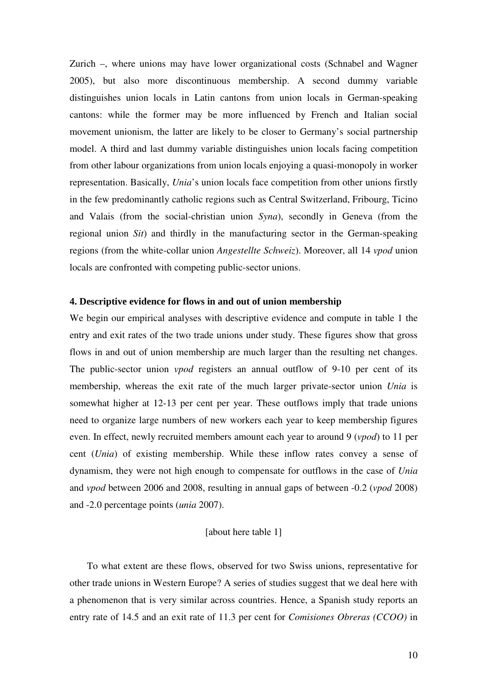Zurich –, where unions may have lower organizational costs (Schnabel and Wagner 2005), but also more discontinuous membership. A second dummy variable distinguishes union locals in Latin cantons from union locals in German-speaking cantons: while the former may be more influenced by French and Italian social movement unionism, the latter are likely to be closer to Germany's social partnership model. A third and last dummy variable distinguishes union locals facing competition from other labour organizations from union locals enjoying a quasi-monopoly in worker representation. Basically, *Unia*'s union locals face competition from other unions firstly in the few predominantly catholic regions such as Central Switzerland, Fribourg, Ticino and Valais (from the social-christian union *Syna*), secondly in Geneva (from the regional union *Sit*) and thirdly in the manufacturing sector in the German-speaking regions (from the white-collar union *Angestellte Schweiz*). Moreover, all 14 *vpod* union locals are confronted with competing public-sector unions.

#### **4. Descriptive evidence for flows in and out of union membership**

We begin our empirical analyses with descriptive evidence and compute in table 1 the entry and exit rates of the two trade unions under study. These figures show that gross flows in and out of union membership are much larger than the resulting net changes. The public-sector union *vpod* registers an annual outflow of 9-10 per cent of its membership, whereas the exit rate of the much larger private-sector union *Unia* is somewhat higher at 12-13 per cent per year. These outflows imply that trade unions need to organize large numbers of new workers each year to keep membership figures even. In effect, newly recruited members amount each year to around 9 (*vpod*) to 11 per cent (*Unia*) of existing membership. While these inflow rates convey a sense of dynamism, they were not high enough to compensate for outflows in the case of *Unia* and *vpod* between 2006 and 2008, resulting in annual gaps of between -0.2 (*vpod* 2008) and -2.0 percentage points (*unia* 2007).

#### [about here table 1]

To what extent are these flows, observed for two Swiss unions, representative for other trade unions in Western Europe? A series of studies suggest that we deal here with a phenomenon that is very similar across countries. Hence, a Spanish study reports an entry rate of 14.5 and an exit rate of 11.3 per cent for *Comisiones Obreras (CCOO)* in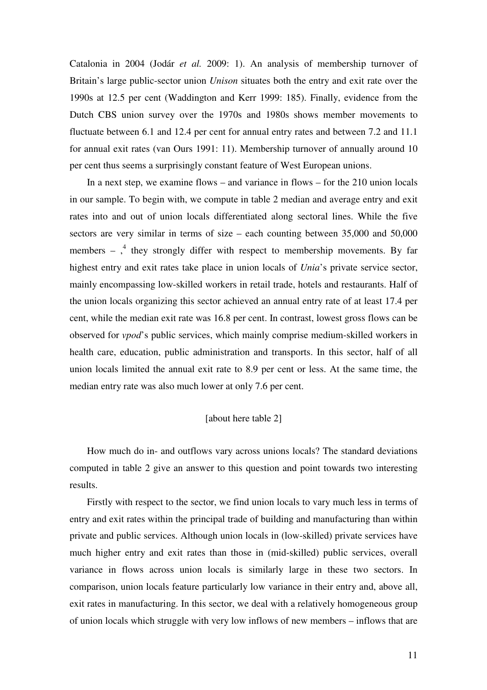Catalonia in 2004 (Jodár *et al.* 2009: 1). An analysis of membership turnover of Britain's large public-sector union *Unison* situates both the entry and exit rate over the 1990s at 12.5 per cent (Waddington and Kerr 1999: 185). Finally, evidence from the Dutch CBS union survey over the 1970s and 1980s shows member movements to fluctuate between 6.1 and 12.4 per cent for annual entry rates and between 7.2 and 11.1 for annual exit rates (van Ours 1991: 11). Membership turnover of annually around 10 per cent thus seems a surprisingly constant feature of West European unions.

In a next step, we examine flows – and variance in flows – for the 210 union locals in our sample. To begin with, we compute in table 2 median and average entry and exit rates into and out of union locals differentiated along sectoral lines. While the five sectors are very similar in terms of size – each counting between 35,000 and 50,000 members  $-$ ,<sup>4</sup> they strongly differ with respect to membership movements. By far highest entry and exit rates take place in union locals of *Unia*'s private service sector, mainly encompassing low-skilled workers in retail trade, hotels and restaurants. Half of the union locals organizing this sector achieved an annual entry rate of at least 17.4 per cent, while the median exit rate was 16.8 per cent. In contrast, lowest gross flows can be observed for *vpod*'s public services, which mainly comprise medium-skilled workers in health care, education, public administration and transports. In this sector, half of all union locals limited the annual exit rate to 8.9 per cent or less. At the same time, the median entry rate was also much lower at only 7.6 per cent.

#### [about here table 2]

How much do in- and outflows vary across unions locals? The standard deviations computed in table 2 give an answer to this question and point towards two interesting results.

Firstly with respect to the sector, we find union locals to vary much less in terms of entry and exit rates within the principal trade of building and manufacturing than within private and public services. Although union locals in (low-skilled) private services have much higher entry and exit rates than those in (mid-skilled) public services, overall variance in flows across union locals is similarly large in these two sectors. In comparison, union locals feature particularly low variance in their entry and, above all, exit rates in manufacturing. In this sector, we deal with a relatively homogeneous group of union locals which struggle with very low inflows of new members – inflows that are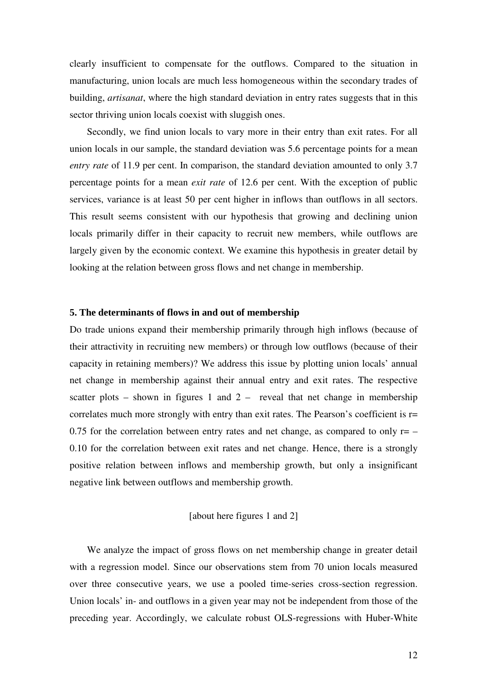clearly insufficient to compensate for the outflows. Compared to the situation in manufacturing, union locals are much less homogeneous within the secondary trades of building, *artisanat*, where the high standard deviation in entry rates suggests that in this sector thriving union locals coexist with sluggish ones.

Secondly, we find union locals to vary more in their entry than exit rates. For all union locals in our sample, the standard deviation was 5.6 percentage points for a mean *entry rate* of 11.9 per cent. In comparison, the standard deviation amounted to only 3.7 percentage points for a mean *exit rate* of 12.6 per cent. With the exception of public services, variance is at least 50 per cent higher in inflows than outflows in all sectors. This result seems consistent with our hypothesis that growing and declining union locals primarily differ in their capacity to recruit new members, while outflows are largely given by the economic context. We examine this hypothesis in greater detail by looking at the relation between gross flows and net change in membership.

#### **5. The determinants of flows in and out of membership**

Do trade unions expand their membership primarily through high inflows (because of their attractivity in recruiting new members) or through low outflows (because of their capacity in retaining members)? We address this issue by plotting union locals' annual net change in membership against their annual entry and exit rates. The respective scatter plots – shown in figures 1 and  $2 -$  reveal that net change in membership correlates much more strongly with entry than exit rates. The Pearson's coefficient is r= 0.75 for the correlation between entry rates and net change, as compared to only  $r = -$ 0.10 for the correlation between exit rates and net change. Hence, there is a strongly positive relation between inflows and membership growth, but only a insignificant negative link between outflows and membership growth.

#### [about here figures 1 and 2]

We analyze the impact of gross flows on net membership change in greater detail with a regression model. Since our observations stem from 70 union locals measured over three consecutive years, we use a pooled time-series cross-section regression. Union locals' in- and outflows in a given year may not be independent from those of the preceding year. Accordingly, we calculate robust OLS-regressions with Huber-White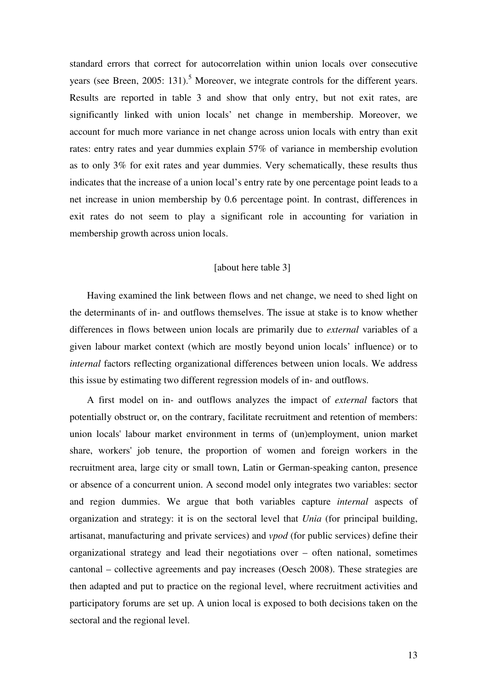standard errors that correct for autocorrelation within union locals over consecutive years (see Breen, 2005: 131).<sup>5</sup> Moreover, we integrate controls for the different years. Results are reported in table 3 and show that only entry, but not exit rates, are significantly linked with union locals' net change in membership. Moreover, we account for much more variance in net change across union locals with entry than exit rates: entry rates and year dummies explain 57% of variance in membership evolution as to only 3% for exit rates and year dummies. Very schematically, these results thus indicates that the increase of a union local's entry rate by one percentage point leads to a net increase in union membership by 0.6 percentage point. In contrast, differences in exit rates do not seem to play a significant role in accounting for variation in membership growth across union locals.

#### [about here table 3]

Having examined the link between flows and net change, we need to shed light on the determinants of in- and outflows themselves. The issue at stake is to know whether differences in flows between union locals are primarily due to *external* variables of a given labour market context (which are mostly beyond union locals' influence) or to *internal* factors reflecting organizational differences between union locals. We address this issue by estimating two different regression models of in- and outflows.

A first model on in- and outflows analyzes the impact of *external* factors that potentially obstruct or, on the contrary, facilitate recruitment and retention of members: union locals' labour market environment in terms of (un)employment, union market share, workers' job tenure, the proportion of women and foreign workers in the recruitment area, large city or small town, Latin or German-speaking canton, presence or absence of a concurrent union. A second model only integrates two variables: sector and region dummies. We argue that both variables capture *internal* aspects of organization and strategy: it is on the sectoral level that *Unia* (for principal building, artisanat, manufacturing and private services) and *vpod* (for public services) define their organizational strategy and lead their negotiations over – often national, sometimes cantonal – collective agreements and pay increases (Oesch 2008). These strategies are then adapted and put to practice on the regional level, where recruitment activities and participatory forums are set up. A union local is exposed to both decisions taken on the sectoral and the regional level.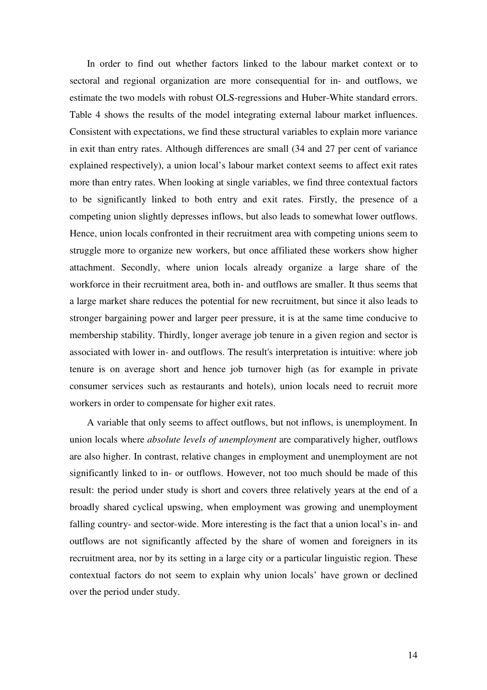In order to find out whether factors linked to the labour market context or to sectoral and regional organization are more consequential for in- and outflows, we estimate the two models with robust OLS-regressions and Huber-White standard errors. Table 4 shows the results of the model integrating external labour market influences. Consistent with expectations, we find these structural variables to explain more variance in exit than entry rates. Although differences are small (34 and 27 per cent of variance explained respectively), a union local's labour market context seems to affect exit rates more than entry rates. When looking at single variables, we find three contextual factors to be significantly linked to both entry and exit rates. Firstly, the presence of a competing union slightly depresses inflows, but also leads to somewhat lower outflows. Hence, union locals confronted in their recruitment area with competing unions seem to struggle more to organize new workers, but once affiliated these workers show higher attachment. Secondly, where union locals already organize a large share of the workforce in their recruitment area, both in- and outflows are smaller. It thus seems that a large market share reduces the potential for new recruitment, but since it also leads to stronger bargaining power and larger peer pressure, it is at the same time conducive to membership stability. Thirdly, longer average job tenure in a given region and sector is associated with lower in- and outflows. The result's interpretation is intuitive: where job tenure is on average short and hence job turnover high (as for example in private consumer services such as restaurants and hotels), union locals need to recruit more workers in order to compensate for higher exit rates.

A variable that only seems to affect outflows, but not inflows, is unemployment. In union locals where *absolute levels of unemployment* are comparatively higher, outflows are also higher. In contrast, relative changes in employment and unemployment are not significantly linked to in- or outflows. However, not too much should be made of this result: the period under study is short and covers three relatively years at the end of a broadly shared cyclical upswing, when employment was growing and unemployment falling country- and sector-wide. More interesting is the fact that a union local's in- and outflows are not significantly affected by the share of women and foreigners in its recruitment area, nor by its setting in a large city or a particular linguistic region. These contextual factors do not seem to explain why union locals' have grown or declined over the period under study.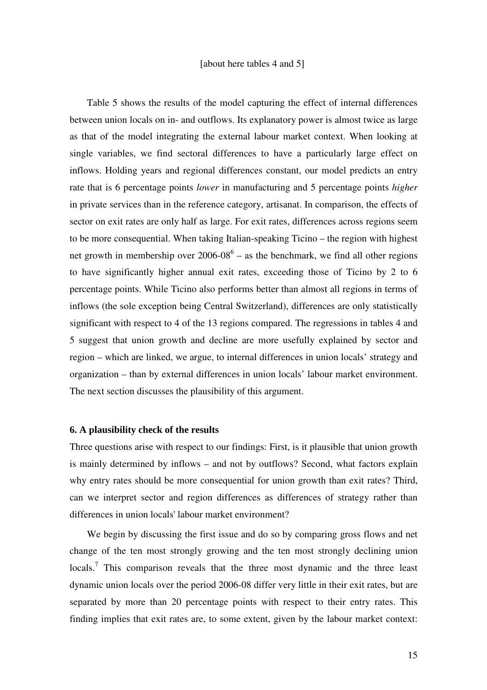Table 5 shows the results of the model capturing the effect of internal differences between union locals on in- and outflows. Its explanatory power is almost twice as large as that of the model integrating the external labour market context. When looking at single variables, we find sectoral differences to have a particularly large effect on inflows. Holding years and regional differences constant, our model predicts an entry rate that is 6 percentage points *lower* in manufacturing and 5 percentage points *higher*  in private services than in the reference category, artisanat. In comparison, the effects of sector on exit rates are only half as large. For exit rates, differences across regions seem to be more consequential. When taking Italian-speaking Ticino – the region with highest net growth in membership over  $2006-08^6$  – as the benchmark, we find all other regions to have significantly higher annual exit rates, exceeding those of Ticino by 2 to 6 percentage points. While Ticino also performs better than almost all regions in terms of inflows (the sole exception being Central Switzerland), differences are only statistically significant with respect to 4 of the 13 regions compared. The regressions in tables 4 and 5 suggest that union growth and decline are more usefully explained by sector and region – which are linked, we argue, to internal differences in union locals' strategy and organization – than by external differences in union locals' labour market environment. The next section discusses the plausibility of this argument.

#### **6. A plausibility check of the results**

Three questions arise with respect to our findings: First, is it plausible that union growth is mainly determined by inflows – and not by outflows? Second, what factors explain why entry rates should be more consequential for union growth than exit rates? Third, can we interpret sector and region differences as differences of strategy rather than differences in union locals' labour market environment?

We begin by discussing the first issue and do so by comparing gross flows and net change of the ten most strongly growing and the ten most strongly declining union locals.<sup>7</sup> This comparison reveals that the three most dynamic and the three least dynamic union locals over the period 2006-08 differ very little in their exit rates, but are separated by more than 20 percentage points with respect to their entry rates. This finding implies that exit rates are, to some extent, given by the labour market context: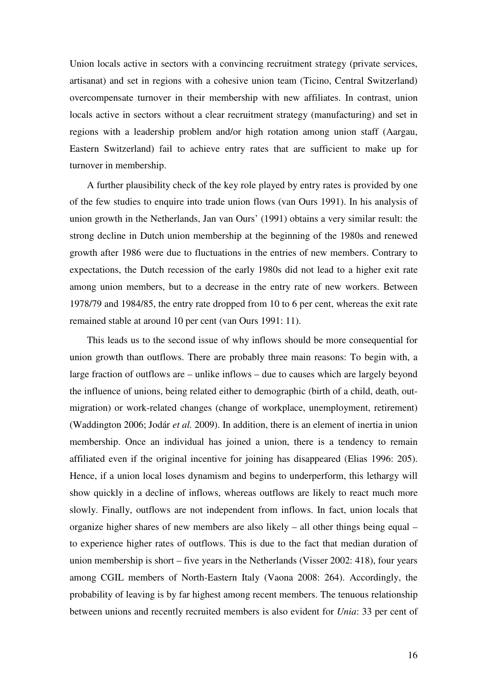Union locals active in sectors with a convincing recruitment strategy (private services, artisanat) and set in regions with a cohesive union team (Ticino, Central Switzerland) overcompensate turnover in their membership with new affiliates. In contrast, union locals active in sectors without a clear recruitment strategy (manufacturing) and set in regions with a leadership problem and/or high rotation among union staff (Aargau, Eastern Switzerland) fail to achieve entry rates that are sufficient to make up for turnover in membership.

A further plausibility check of the key role played by entry rates is provided by one of the few studies to enquire into trade union flows (van Ours 1991). In his analysis of union growth in the Netherlands, Jan van Ours' (1991) obtains a very similar result: the strong decline in Dutch union membership at the beginning of the 1980s and renewed growth after 1986 were due to fluctuations in the entries of new members. Contrary to expectations, the Dutch recession of the early 1980s did not lead to a higher exit rate among union members, but to a decrease in the entry rate of new workers. Between 1978/79 and 1984/85, the entry rate dropped from 10 to 6 per cent, whereas the exit rate remained stable at around 10 per cent (van Ours 1991: 11).

This leads us to the second issue of why inflows should be more consequential for union growth than outflows. There are probably three main reasons: To begin with, a large fraction of outflows are – unlike inflows – due to causes which are largely beyond the influence of unions, being related either to demographic (birth of a child, death, outmigration) or work-related changes (change of workplace, unemployment, retirement) (Waddington 2006; Jodár *et al.* 2009). In addition, there is an element of inertia in union membership. Once an individual has joined a union, there is a tendency to remain affiliated even if the original incentive for joining has disappeared (Elias 1996: 205). Hence, if a union local loses dynamism and begins to underperform, this lethargy will show quickly in a decline of inflows, whereas outflows are likely to react much more slowly. Finally, outflows are not independent from inflows. In fact, union locals that organize higher shares of new members are also likely – all other things being equal – to experience higher rates of outflows. This is due to the fact that median duration of union membership is short – five years in the Netherlands (Visser 2002: 418), four years among CGIL members of North-Eastern Italy (Vaona 2008: 264). Accordingly, the probability of leaving is by far highest among recent members. The tenuous relationship between unions and recently recruited members is also evident for *Unia*: 33 per cent of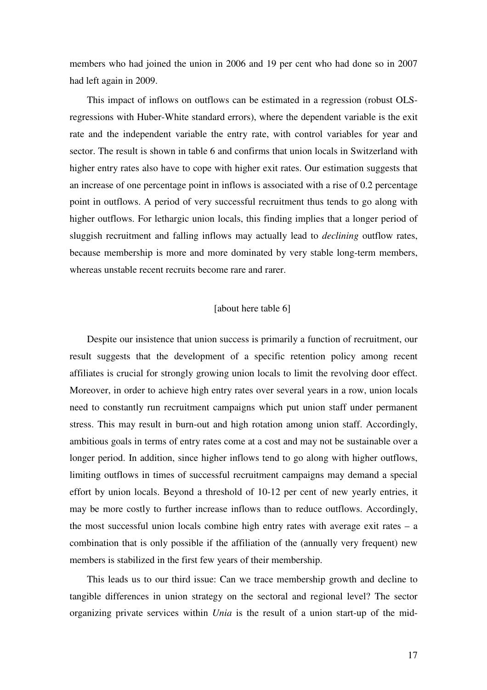members who had joined the union in 2006 and 19 per cent who had done so in 2007 had left again in 2009.

This impact of inflows on outflows can be estimated in a regression (robust OLSregressions with Huber-White standard errors), where the dependent variable is the exit rate and the independent variable the entry rate, with control variables for year and sector. The result is shown in table 6 and confirms that union locals in Switzerland with higher entry rates also have to cope with higher exit rates. Our estimation suggests that an increase of one percentage point in inflows is associated with a rise of 0.2 percentage point in outflows. A period of very successful recruitment thus tends to go along with higher outflows. For lethargic union locals, this finding implies that a longer period of sluggish recruitment and falling inflows may actually lead to *declining* outflow rates, because membership is more and more dominated by very stable long-term members, whereas unstable recent recruits become rare and rarer.

#### [about here table 6]

Despite our insistence that union success is primarily a function of recruitment, our result suggests that the development of a specific retention policy among recent affiliates is crucial for strongly growing union locals to limit the revolving door effect. Moreover, in order to achieve high entry rates over several years in a row, union locals need to constantly run recruitment campaigns which put union staff under permanent stress. This may result in burn-out and high rotation among union staff. Accordingly, ambitious goals in terms of entry rates come at a cost and may not be sustainable over a longer period. In addition, since higher inflows tend to go along with higher outflows, limiting outflows in times of successful recruitment campaigns may demand a special effort by union locals. Beyond a threshold of 10-12 per cent of new yearly entries, it may be more costly to further increase inflows than to reduce outflows. Accordingly, the most successful union locals combine high entry rates with average exit rates – a combination that is only possible if the affiliation of the (annually very frequent) new members is stabilized in the first few years of their membership.

This leads us to our third issue: Can we trace membership growth and decline to tangible differences in union strategy on the sectoral and regional level? The sector organizing private services within *Unia* is the result of a union start-up of the mid-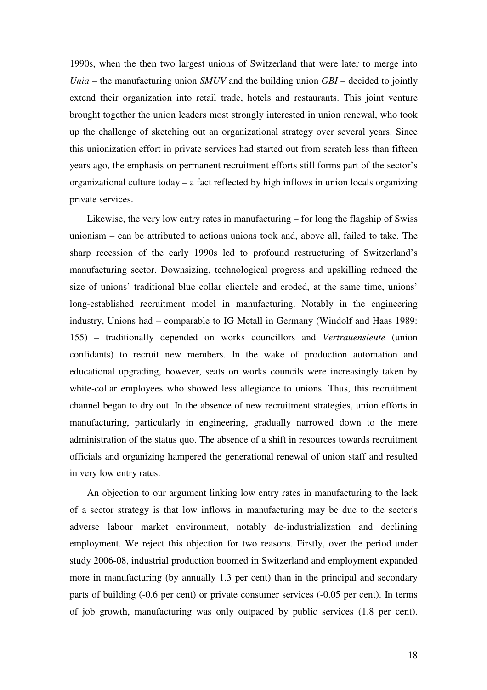1990s, when the then two largest unions of Switzerland that were later to merge into *Unia* – the manufacturing union *SMUV* and the building union *GBI* – decided to jointly extend their organization into retail trade, hotels and restaurants. This joint venture brought together the union leaders most strongly interested in union renewal, who took up the challenge of sketching out an organizational strategy over several years. Since this unionization effort in private services had started out from scratch less than fifteen years ago, the emphasis on permanent recruitment efforts still forms part of the sector's organizational culture today – a fact reflected by high inflows in union locals organizing private services.

Likewise, the very low entry rates in manufacturing – for long the flagship of Swiss unionism – can be attributed to actions unions took and, above all, failed to take. The sharp recession of the early 1990s led to profound restructuring of Switzerland's manufacturing sector. Downsizing, technological progress and upskilling reduced the size of unions' traditional blue collar clientele and eroded, at the same time, unions' long-established recruitment model in manufacturing. Notably in the engineering industry, Unions had – comparable to IG Metall in Germany (Windolf and Haas 1989: 155) – traditionally depended on works councillors and *Vertrauensleute* (union confidants) to recruit new members. In the wake of production automation and educational upgrading, however, seats on works councils were increasingly taken by white-collar employees who showed less allegiance to unions. Thus, this recruitment channel began to dry out. In the absence of new recruitment strategies, union efforts in manufacturing, particularly in engineering, gradually narrowed down to the mere administration of the status quo. The absence of a shift in resources towards recruitment officials and organizing hampered the generational renewal of union staff and resulted in very low entry rates.

An objection to our argument linking low entry rates in manufacturing to the lack of a sector strategy is that low inflows in manufacturing may be due to the sector's adverse labour market environment, notably de-industrialization and declining employment. We reject this objection for two reasons. Firstly, over the period under study 2006-08, industrial production boomed in Switzerland and employment expanded more in manufacturing (by annually 1.3 per cent) than in the principal and secondary parts of building (-0.6 per cent) or private consumer services (-0.05 per cent). In terms of job growth, manufacturing was only outpaced by public services (1.8 per cent).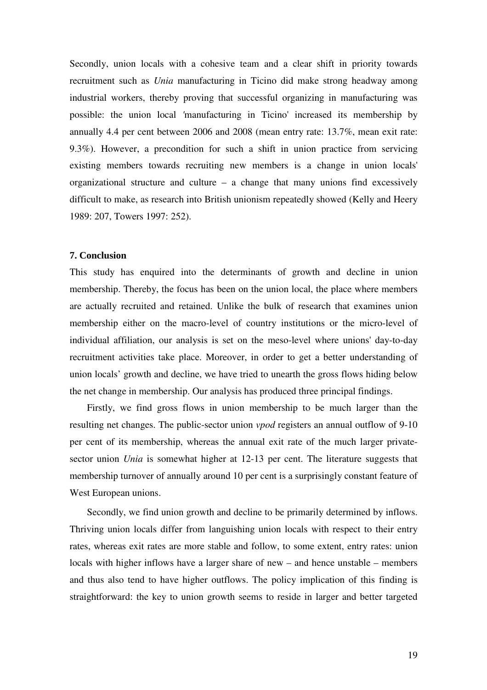Secondly, union locals with a cohesive team and a clear shift in priority towards recruitment such as *Unia* manufacturing in Ticino did make strong headway among industrial workers, thereby proving that successful organizing in manufacturing was possible: the union local *'*manufacturing in Ticino' increased its membership by annually 4.4 per cent between 2006 and 2008 (mean entry rate: 13.7%, mean exit rate: 9.3%). However, a precondition for such a shift in union practice from servicing existing members towards recruiting new members is a change in union locals' organizational structure and culture – a change that many unions find excessively difficult to make, as research into British unionism repeatedly showed (Kelly and Heery 1989: 207, Towers 1997: 252).

#### **7. Conclusion**

This study has enquired into the determinants of growth and decline in union membership. Thereby, the focus has been on the union local, the place where members are actually recruited and retained. Unlike the bulk of research that examines union membership either on the macro-level of country institutions or the micro-level of individual affiliation, our analysis is set on the meso-level where unions' day-to-day recruitment activities take place. Moreover, in order to get a better understanding of union locals' growth and decline, we have tried to unearth the gross flows hiding below the net change in membership. Our analysis has produced three principal findings.

Firstly, we find gross flows in union membership to be much larger than the resulting net changes. The public-sector union *vpod* registers an annual outflow of 9-10 per cent of its membership, whereas the annual exit rate of the much larger privatesector union *Unia* is somewhat higher at 12-13 per cent. The literature suggests that membership turnover of annually around 10 per cent is a surprisingly constant feature of West European unions.

Secondly, we find union growth and decline to be primarily determined by inflows. Thriving union locals differ from languishing union locals with respect to their entry rates, whereas exit rates are more stable and follow, to some extent, entry rates: union locals with higher inflows have a larger share of new – and hence unstable – members and thus also tend to have higher outflows. The policy implication of this finding is straightforward: the key to union growth seems to reside in larger and better targeted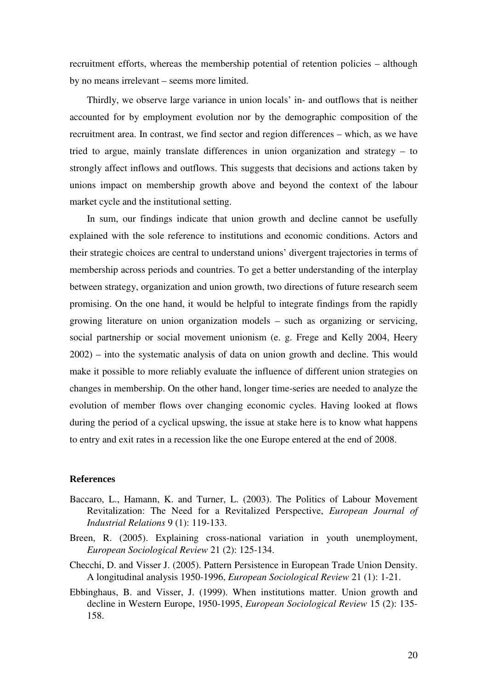recruitment efforts, whereas the membership potential of retention policies – although by no means irrelevant – seems more limited.

Thirdly, we observe large variance in union locals' in- and outflows that is neither accounted for by employment evolution nor by the demographic composition of the recruitment area. In contrast, we find sector and region differences – which, as we have tried to argue, mainly translate differences in union organization and strategy – to strongly affect inflows and outflows. This suggests that decisions and actions taken by unions impact on membership growth above and beyond the context of the labour market cycle and the institutional setting.

In sum, our findings indicate that union growth and decline cannot be usefully explained with the sole reference to institutions and economic conditions. Actors and their strategic choices are central to understand unions' divergent trajectories in terms of membership across periods and countries. To get a better understanding of the interplay between strategy, organization and union growth, two directions of future research seem promising. On the one hand, it would be helpful to integrate findings from the rapidly growing literature on union organization models – such as organizing or servicing, social partnership or social movement unionism (e. g. Frege and Kelly 2004, Heery 2002) – into the systematic analysis of data on union growth and decline. This would make it possible to more reliably evaluate the influence of different union strategies on changes in membership. On the other hand, longer time-series are needed to analyze the evolution of member flows over changing economic cycles. Having looked at flows during the period of a cyclical upswing, the issue at stake here is to know what happens to entry and exit rates in a recession like the one Europe entered at the end of 2008.

## **References**

- Baccaro, L., Hamann, K. and Turner, L. (2003). The Politics of Labour Movement Revitalization: The Need for a Revitalized Perspective, *European Journal of Industrial Relations* 9 (1): 119-133.
- Breen, R. (2005). Explaining cross-national variation in youth unemployment, *European Sociological Review* 21 (2): 125-134.
- Checchi, D. and Visser J. (2005). Pattern Persistence in European Trade Union Density. A longitudinal analysis 1950-1996, *European Sociological Review* 21 (1): 1-21.
- Ebbinghaus, B. and Visser, J. (1999). When institutions matter. Union growth and decline in Western Europe, 1950-1995, *European Sociological Review* 15 (2): 135- 158.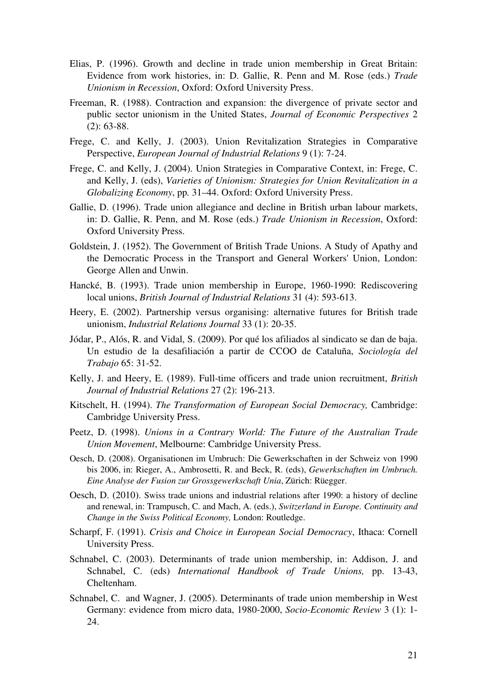- Elias, P. (1996). Growth and decline in trade union membership in Great Britain: Evidence from work histories, in: D. Gallie, R. Penn and M. Rose (eds.) *Trade Unionism in Recession*, Oxford: Oxford University Press.
- Freeman, R. (1988). Contraction and expansion: the divergence of private sector and public sector unionism in the United States, *Journal of Economic Perspectives* 2 (2): 63-88.
- Frege, C. and Kelly, J. (2003). Union Revitalization Strategies in Comparative Perspective, *European Journal of Industrial Relations* 9 (1): 7-24.
- Frege, C. and Kelly, J. (2004). Union Strategies in Comparative Context, in: Frege, C. and Kelly, J. (eds), *Varieties of Unionism: Strategies for Union Revitalization in a Globalizing Economy*, pp*.* 31–44. Oxford: Oxford University Press.
- Gallie, D. (1996). Trade union allegiance and decline in British urban labour markets, in: D. Gallie, R. Penn, and M. Rose (eds.) *Trade Unionism in Recession*, Oxford: Oxford University Press.
- Goldstein, J. (1952). The Government of British Trade Unions. A Study of Apathy and the Democratic Process in the Transport and General Workers' Union, London: George Allen and Unwin.
- Hancké, B. (1993). Trade union membership in Europe, 1960-1990: Rediscovering local unions, *British Journal of Industrial Relations* 31 (4): 593-613.
- Heery, E. (2002). Partnership versus organising: alternative futures for British trade unionism, *Industrial Relations Journal* 33 (1): 20-35.
- Jódar, P., Alós, R. and Vidal, S. (2009). Por qué los afiliados al sindicato se dan de baja. Un estudio de la desafiliación a partir de CCOO de Cataluña, *Sociología del Trabajo* 65: 31-52.
- Kelly, J. and Heery, E. (1989). Full-time officers and trade union recruitment, *British Journal of Industrial Relations* 27 (2): 196-213.
- Kitschelt, H. (1994). *The Transformation of European Social Democracy,* Cambridge: Cambridge University Press.
- Peetz, D. (1998). *Unions in a Contrary World: The Future of the Australian Trade Union Movement*, Melbourne: Cambridge University Press.
- Oesch, D. (2008). Organisationen im Umbruch: Die Gewerkschaften in der Schweiz von 1990 bis 2006, in: Rieger, A., Ambrosetti, R. and Beck, R. (eds), *Gewerkschaften im Umbruch. Eine Analyse der Fusion zur Grossgewerkschaft Unia*, Zürich: Rüegger.
- Oesch, D. (2010). Swiss trade unions and industrial relations after 1990: a history of decline and renewal, in: Trampusch, C. and Mach, A. (eds.), *Switzerland in Europe. Continuity and Change in the Swiss Political Economy,* London: Routledge.
- Scharpf, F. (1991). *Crisis and Choice in European Social Democracy*, Ithaca: Cornell University Press.
- Schnabel, C. (2003). Determinants of trade union membership, in: Addison, J. and Schnabel, C. (eds) *International Handbook of Trade Unions,* pp. 13-43, Cheltenham.
- Schnabel, C. and Wagner, J. (2005). Determinants of trade union membership in West Germany: evidence from micro data, 1980-2000, *Socio-Economic Review* 3 (1): 1- 24.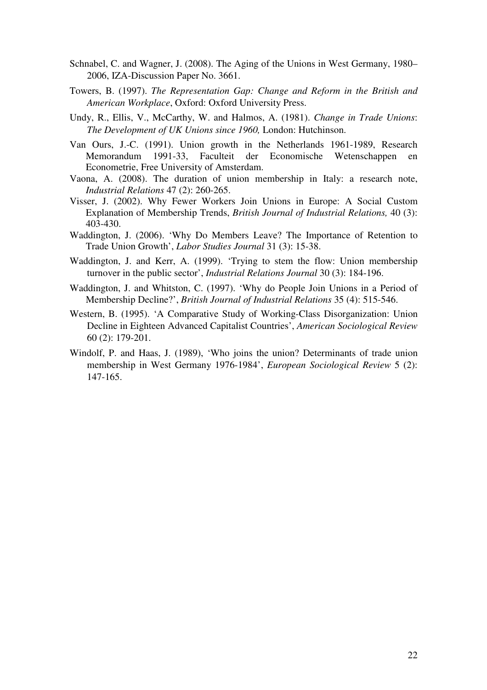- Schnabel, C. and Wagner, J. (2008). The Aging of the Unions in West Germany, 1980– 2006, IZA-Discussion Paper No. 3661.
- Towers, B. (1997). *The Representation Gap: Change and Reform in the British and American Workplace*, Oxford: Oxford University Press.
- Undy, R., Ellis, V., McCarthy, W. and Halmos, A. (1981). *Change in Trade Unions*: *The Development of UK Unions since 1960,* London: Hutchinson.
- Van Ours, J.-C. (1991). Union growth in the Netherlands 1961-1989, Research Memorandum 1991-33, Faculteit der Economische Wetenschappen Econometrie, Free University of Amsterdam.
- Vaona, A. (2008). The duration of union membership in Italy: a research note, *Industrial Relations* 47 (2): 260-265.
- Visser, J. (2002). Why Fewer Workers Join Unions in Europe: A Social Custom Explanation of Membership Trends, *British Journal of Industrial Relations,* 40 (3): 403-430.
- Waddington, J. (2006). 'Why Do Members Leave? The Importance of Retention to Trade Union Growth', *Labor Studies Journal* 31 (3): 15-38.
- Waddington, J. and Kerr, A. (1999). 'Trying to stem the flow: Union membership turnover in the public sector', *Industrial Relations Journal* 30 (3): 184-196.
- Waddington, J. and Whitston, C. (1997). 'Why do People Join Unions in a Period of Membership Decline?', *British Journal of Industrial Relations* 35 (4): 515-546.
- Western, B. (1995). 'A Comparative Study of Working-Class Disorganization: Union Decline in Eighteen Advanced Capitalist Countries', *American Sociological Review* 60 (2): 179-201.
- Windolf, P. and Haas, J. (1989), 'Who joins the union? Determinants of trade union membership in West Germany 1976-1984', *European Sociological Review* 5 (2): 147-165.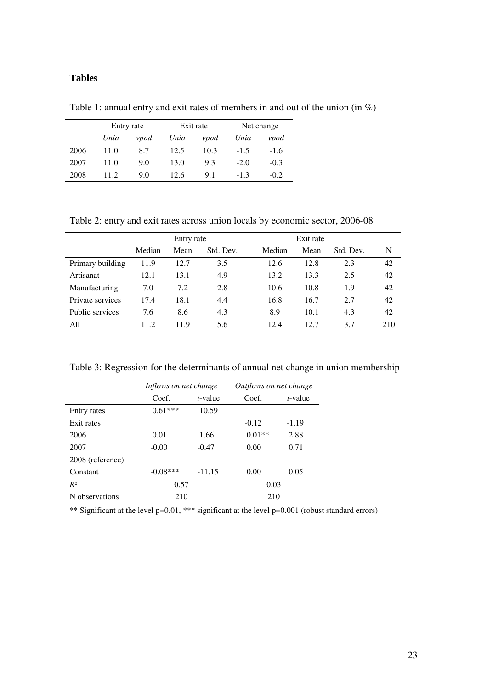## **Tables**

Table 1: annual entry and exit rates of members in and out of the union (in %)

|      | Entry rate |      | Exit rate |      | Net change |        |
|------|------------|------|-----------|------|------------|--------|
|      | Unia       | vpod | Unia      | vpod | Unia       | vpod   |
| 2006 | 11.0       | 8.7  | 12.5      | 10.3 | $-1.5$     | $-1.6$ |
| 2007 | 11.0       | 9.0  | 13.0      | 9.3  | $-2.0$     | $-0.3$ |
| 2008 | 11.2       | 9.0  | 12.6      | 9.1  | $-1.3$     | $-0.2$ |

Table 2: entry and exit rates across union locals by economic sector, 2006-08

|                  |        | Entry rate |           |        | Exit rate |           |     |
|------------------|--------|------------|-----------|--------|-----------|-----------|-----|
|                  | Median | Mean       | Std. Dev. | Median | Mean      | Std. Dev. | N   |
| Primary building | 11.9   | 12.7       | 3.5       | 12.6   | 12.8      | 2.3       | 42  |
| Artisanat        | 12.1   | 13.1       | 4.9       | 13.2   | 13.3      | 2.5       | 42  |
| Manufacturing    | 7.0    | 7.2        | 2.8       | 10.6   | 10.8      | 1.9       | 42  |
| Private services | 17.4   | 18.1       | 4.4       | 16.8   | 16.7      | 2.7       | 42  |
| Public services  | 7.6    | 8.6        | 4.3       | 8.9    | 10.1      | 4.3       | 42  |
| All              | 11.2   | 11.9       | 5.6       | 12.4   | 12.7      | 3.7       | 210 |

Table 3: Regression for the determinants of annual net change in union membership

|                  | Inflows on net change |                 | Outflows on net change |                 |  |
|------------------|-----------------------|-----------------|------------------------|-----------------|--|
|                  | Coef.                 | <i>t</i> -value | Coef.                  | <i>t</i> -value |  |
| Entry rates      | $0.61***$             | 10.59           |                        |                 |  |
| Exit rates       |                       |                 | $-0.12$                | $-1.19$         |  |
| 2006             | 0.01                  | 1.66            | $0.01**$               | 2.88            |  |
| 2007             | $-0.00$               | $-0.47$         | 0.00                   | 0.71            |  |
| 2008 (reference) |                       |                 |                        |                 |  |
| Constant         | $-0.08***$            | $-11.15$        | 0.00                   | 0.05            |  |
| $R^2$            | 0.57                  |                 | 0.03                   |                 |  |
| N observations   | 210                   |                 | 210                    |                 |  |

\*\* Significant at the level p=0.01, \*\*\* significant at the level p=0.001 (robust standard errors)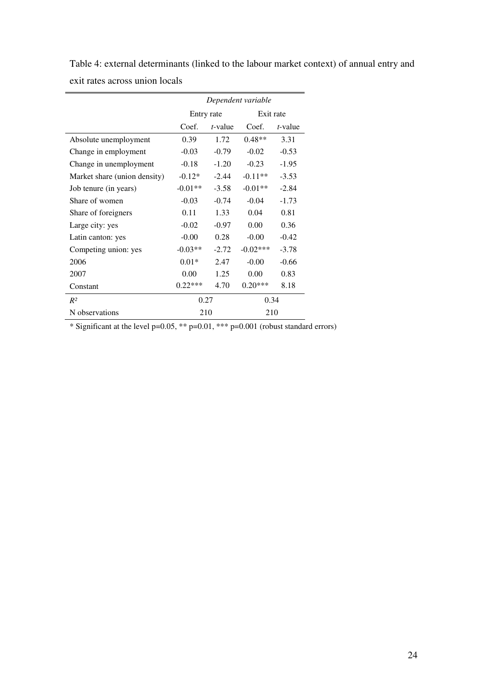Table 4: external determinants (linked to the labour market context) of annual entry and exit rates across union locals

|                              | Dependent variable |            |            |            |
|------------------------------|--------------------|------------|------------|------------|
|                              | Entry rate         |            | Exit rate  |            |
|                              | Coef.              | $t$ -value | Coef.      | $t$ -value |
| Absolute unemployment        | 0.39               | 1.72       | $0.48**$   | 3.31       |
| Change in employment         | $-0.03$            | $-0.79$    | $-0.02$    | $-0.53$    |
| Change in unemployment       | $-0.18$            | $-1.20$    | $-0.23$    | $-1.95$    |
| Market share (union density) | $-0.12*$           | $-2.44$    | $-0.11**$  | $-3.53$    |
| Job tenure (in years)        | $-0.01**$          | $-3.58$    | $-0.01**$  | $-2.84$    |
| Share of women               | $-0.03$            | $-0.74$    | $-0.04$    | $-1.73$    |
| Share of foreigners          | 0.11               | 1.33       | 0.04       | 0.81       |
| Large city: yes              | $-0.02$            | $-0.97$    | 0.00       | 0.36       |
| Latin canton: yes            | $-0.00$            | 0.28       | $-0.00$    | $-0.42$    |
| Competing union: yes         | $-0.03**$          | $-2.72$    | $-0.02***$ | $-3.78$    |
| 2006                         | $0.01*$            | 2.47       | $-0.00$    | $-0.66$    |
| 2007                         | 0.00               | 1.25       | 0.00       | 0.83       |
| Constant                     | $0.22***$          | 4.70       | $0.20***$  | 8.18       |
| $R^2$                        | 0.27               |            | 0.34       |            |
| N observations               | 210                |            | 210        |            |

\* Significant at the level  $p=0.05$ , \*\*  $p=0.01$ , \*\*\*  $p=0.001$  (robust standard errors)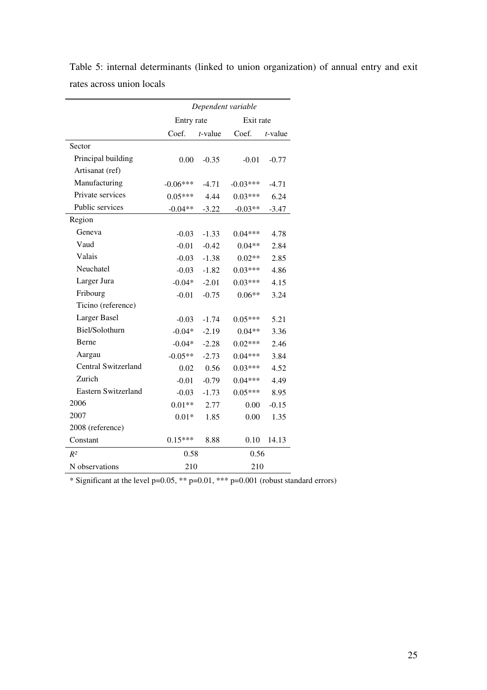|                     | Dependent variable |            |            |            |
|---------------------|--------------------|------------|------------|------------|
|                     | Entry rate         |            | Exit rate  |            |
|                     | Coef.              | $t$ -value | Coef.      | $t$ -value |
| Sector              |                    |            |            |            |
| Principal building  | 0.00               | $-0.35$    | $-0.01$    | $-0.77$    |
| Artisanat (ref)     |                    |            |            |            |
| Manufacturing       | $-0.06***$         | $-4.71$    | $-0.03***$ | $-4.71$    |
| Private services    | $0.05***$          | 4.44       | $0.03***$  | 6.24       |
| Public services     | $-0.04**$          | $-3.22$    | $-0.03**$  | $-3.47$    |
| Region              |                    |            |            |            |
| Geneva              | $-0.03$            | $-1.33$    | $0.04***$  | 4.78       |
| Vaud                | $-0.01$            | $-0.42$    | $0.04**$   | 2.84       |
| Valais              | $-0.03$            | $-1.38$    | $0.02**$   | 2.85       |
| Neuchatel           | $-0.03$            | $-1.82$    | $0.03***$  | 4.86       |
| Larger Jura         | $-0.04*$           | $-2.01$    | $0.03***$  | 4.15       |
| Fribourg            | $-0.01$            | $-0.75$    | $0.06**$   | 3.24       |
| Ticino (reference)  |                    |            |            |            |
| Larger Basel        | $-0.03$            | $-1.74$    | $0.05***$  | 5.21       |
| Biel/Solothurn      | $-0.04*$           | $-2.19$    | $0.04**$   | 3.36       |
| Berne               | $-0.04*$           | $-2.28$    | $0.02***$  | 2.46       |
| Aargau              | $-0.05**$          | $-2.73$    | $0.04***$  | 3.84       |
| Central Switzerland | 0.02               | 0.56       | $0.03***$  | 4.52       |
| Zurich              | $-0.01$            | $-0.79$    | $0.04***$  | 4.49       |
| Eastern Switzerland | $-0.03$            | $-1.73$    | $0.05***$  | 8.95       |
| 2006                | $0.01**$           | 2.77       | 0.00       | $-0.15$    |
| 2007                | $0.01*$            | 1.85       | 0.00       | 1.35       |
| 2008 (reference)    |                    |            |            |            |
| Constant            | $0.15***$          | 8.88       | 0.10       | 14.13      |
| $R^2$               | 0.58               |            | 0.56       |            |
| N observations      | 210                |            | 210        |            |

Table 5: internal determinants (linked to union organization) of annual entry and exit rates across union locals

\* Significant at the level p=0.05, \*\* p=0.01, \*\*\* p=0.001 (robust standard errors)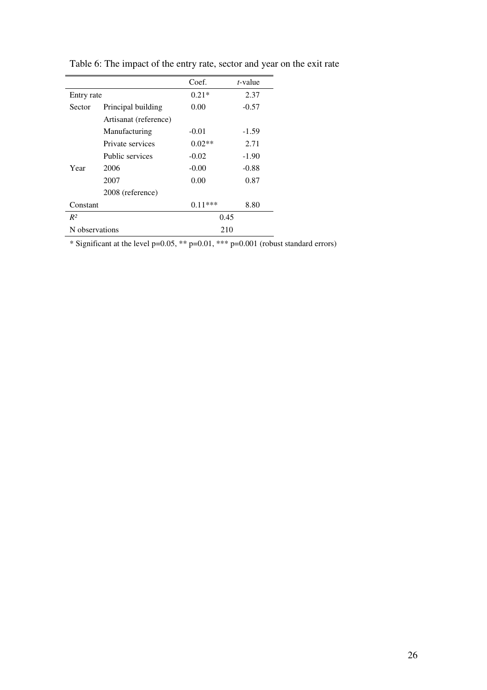|                |                       | Coef.     | <i>t</i> -value |
|----------------|-----------------------|-----------|-----------------|
| Entry rate     |                       | $0.21*$   | 2.37            |
| Sector         | Principal building    | 0.00      | $-0.57$         |
|                | Artisanat (reference) |           |                 |
|                | Manufacturing         | $-0.01$   | $-1.59$         |
|                | Private services      | $0.02**$  | 2.71            |
|                | Public services       | $-0.02$   | $-1.90$         |
| Year           | 2006                  | $-0.00$   | $-0.88$         |
|                | 2007                  | 0.00      | 0.87            |
|                | 2008 (reference)      |           |                 |
| Constant       |                       | $0.11***$ | 8.80            |
| $R^2$          |                       | 0.45      |                 |
| N observations |                       | 210       |                 |

Table 6: The impact of the entry rate, sector and year on the exit rate

\* Significant at the level  $p=0.05$ , \*\*  $p=0.01$ , \*\*\*  $p=0.001$  (robust standard errors)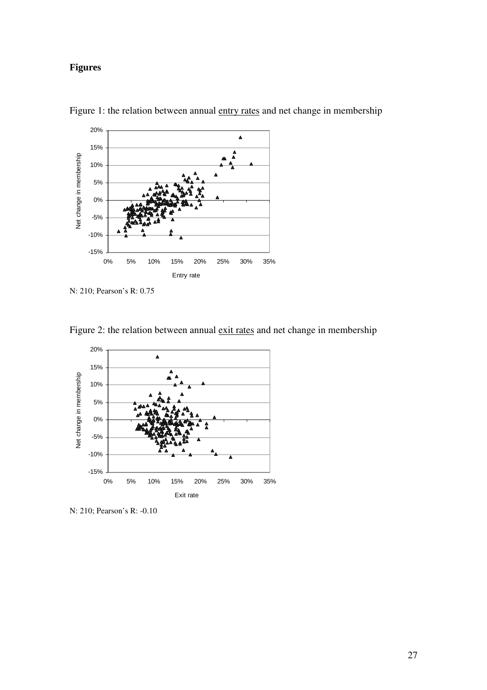# **Figures**



Figure 1: the relation between annual entry rates and net change in membership



Figure 2: the relation between annual exit rates and net change in membership

N: 210; Pearson's R: -0.10

N: 210; Pearson's R: 0.75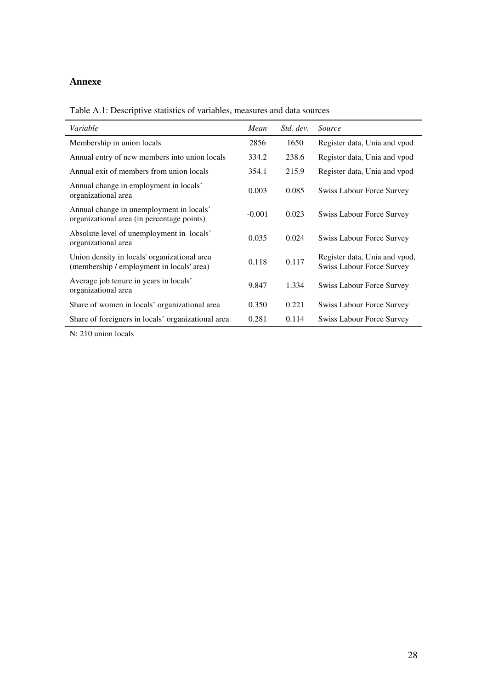# **Annexe**

Table A.1: Descriptive statistics of variables, measures and data sources

| Variable                                                                                  | Mean     | Std. dev. | <i>Source</i>                                                     |
|-------------------------------------------------------------------------------------------|----------|-----------|-------------------------------------------------------------------|
| Membership in union locals                                                                | 2856     | 1650      | Register data, Unia and vpod                                      |
| Annual entry of new members into union locals                                             | 334.2    | 238.6     | Register data, Unia and vpod                                      |
| Annual exit of members from union locals                                                  | 354.1    | 215.9     | Register data, Unia and vpod                                      |
| Annual change in employment in locals'<br>organizational area                             | 0.003    | 0.085     | <b>Swiss Labour Force Survey</b>                                  |
| Annual change in unemployment in locals'<br>organizational area (in percentage points)    | $-0.001$ | 0.023     | <b>Swiss Labour Force Survey</b>                                  |
| Absolute level of unemployment in locals'<br>organizational area                          | 0.035    | 0.024     | <b>Swiss Labour Force Survey</b>                                  |
| Union density in locals' organizational area<br>(membership / employment in locals' area) | 0.118    | 0.117     | Register data, Unia and vpod,<br><b>Swiss Labour Force Survey</b> |
| Average job tenure in years in locals'<br>organizational area                             | 9.847    | 1.334     | <b>Swiss Labour Force Survey</b>                                  |
| Share of women in locals' organizational area                                             | 0.350    | 0.221     | <b>Swiss Labour Force Survey</b>                                  |
| Share of foreigners in locals' organizational area                                        | 0.281    | 0.114     | <b>Swiss Labour Force Survey</b>                                  |

N: 210 union locals